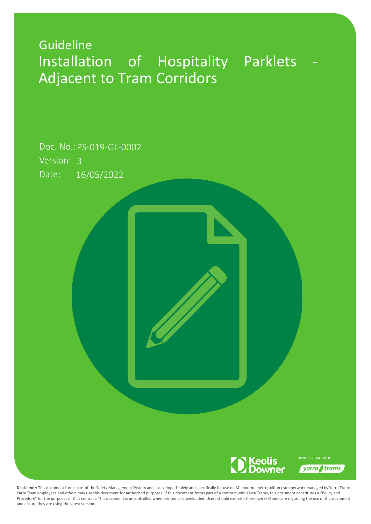# Guideline Installation of Hospitality Parklets Adjacent to Tram Corridors

Date: 16/05/2022 Version: 3 Doc. No.: PS-019-GL-0002



**Disclaimer:** This document forms part of the Safety Management System and is developed solely and specifically for use on Melbourne metropolitan tram network managed by Yarra Trams. Yarra Tram employees and others may use this document for authorised purposes. If this document forms part of a contract with Yarra Trams, this document constitutes a "Policy and Procedure" for the purposes of that contract. This document is uncontrolled when printed or downloaded. Users should exercise their own skill and care regarding the use of this document and ensure they are using the latest version.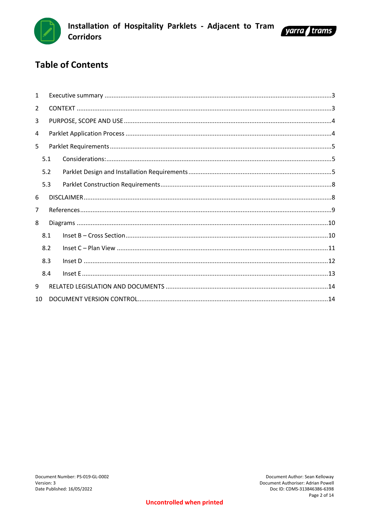



# **Table of Contents**

| $\mathbf{1}$   |     |  |  |  |  |  |  |
|----------------|-----|--|--|--|--|--|--|
| $\overline{2}$ |     |  |  |  |  |  |  |
| 3              |     |  |  |  |  |  |  |
| 4              |     |  |  |  |  |  |  |
| 5              |     |  |  |  |  |  |  |
|                | 5.1 |  |  |  |  |  |  |
|                | 5.2 |  |  |  |  |  |  |
|                | 5.3 |  |  |  |  |  |  |
| 6              |     |  |  |  |  |  |  |
| 7              |     |  |  |  |  |  |  |
| 8              |     |  |  |  |  |  |  |
|                | 8.1 |  |  |  |  |  |  |
|                | 8.2 |  |  |  |  |  |  |
|                | 8.3 |  |  |  |  |  |  |
|                | 8.4 |  |  |  |  |  |  |
| 9              |     |  |  |  |  |  |  |
| 10             |     |  |  |  |  |  |  |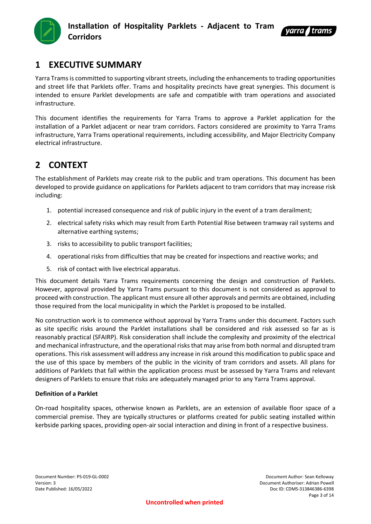



# <span id="page-2-0"></span>**1 EXECUTIVE SUMMARY**

Yarra Trams is committed to supporting vibrant streets, including the enhancements to trading opportunities and street life that Parklets offer. Trams and hospitality precincts have great synergies. This document is intended to ensure Parklet developments are safe and compatible with tram operations and associated infrastructure.

This document identifies the requirements for Yarra Trams to approve a Parklet application for the installation of a Parklet adjacent or near tram corridors. Factors considered are proximity to Yarra Trams infrastructure, Yarra Trams operational requirements, including accessibility, and Major Electricity Company electrical infrastructure.

# <span id="page-2-1"></span>**2 CONTEXT**

The establishment of Parklets may create risk to the public and tram operations. This document has been developed to provide guidance on applications for Parklets adjacent to tram corridors that may increase risk including:

- 1. potential increased consequence and risk of public injury in the event of a tram derailment;
- 2. electrical safety risks which may result from Earth Potential Rise between tramway rail systems and alternative earthing systems;
- 3. risks to accessibility to public transport facilities;
- 4. operational risks from difficulties that may be created for inspections and reactive works; and
- 5. risk of contact with live electrical apparatus.

This document details Yarra Trams requirements concerning the design and construction of Parklets. However, approval provided by Yarra Trams pursuant to this document is not considered as approval to proceed with construction. The applicant must ensure all other approvals and permits are obtained, including those required from the local municipality in which the Parklet is proposed to be installed.

No construction work is to commence without approval by Yarra Trams under this document. Factors such as site specific risks around the Parklet installations shall be considered and risk assessed so far as is reasonably practical (SFAIRP). Risk consideration shall include the complexity and proximity of the electrical and mechanical infrastructure, and the operational risks that may arise from both normal and disrupted tram operations. This risk assessment will address any increase in risk around this modification to public space and the use of this space by members of the public in the vicinity of tram corridors and assets. All plans for additions of Parklets that fall within the application process must be assessed by Yarra Trams and relevant designers of Parklets to ensure that risks are adequately managed prior to any Yarra Trams approval.

#### **Definition of a Parklet**

On-road hospitality spaces, otherwise known as Parklets, are an extension of available floor space of a commercial premise. They are typically structures or platforms created for public seating installed within kerbside parking spaces, providing open-air social interaction and dining in front of a respective business.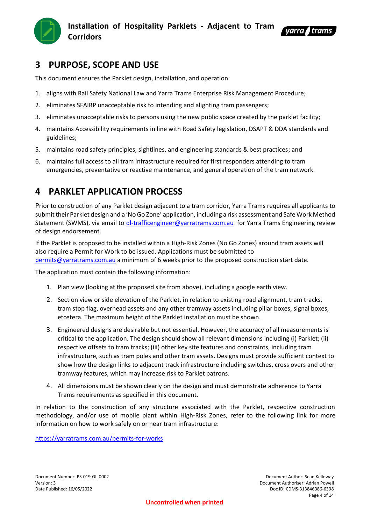



# <span id="page-3-0"></span>**3 PURPOSE, SCOPE AND USE**

This document ensures the Parklet design, installation, and operation:

- 1. aligns with Rail Safety National Law and Yarra Trams Enterprise Risk Management Procedure;
- 2. eliminates SFAIRP unacceptable risk to intending and alighting tram passengers;
- 3. eliminates unacceptable risks to persons using the new public space created by the parklet facility;
- 4. maintains Accessibility requirements in line with Road Safety legislation, DSAPT & DDA standards and guidelines;
- 5. maintains road safety principles, sightlines, and engineering standards & best practices; and
- 6. maintains full access to all tram infrastructure required for first responders attending to tram emergencies, preventative or reactive maintenance, and general operation of the tram network.

# <span id="page-3-1"></span>**4 PARKLET APPLICATION PROCESS**

Prior to construction of any Parklet design adjacent to a tram corridor, Yarra Trams requires all applicants to submit their Parklet design and a 'No Go Zone' application, including a risk assessment and Safe Work Method Statement (SWMS), via email to [dl-trafficengineer@yarratrams.com.au](mailto:dl-trafficengineer@yarratrams.com.au) for Yarra Trams Engineering review of design endorsement.

If the Parklet is proposed to be installed within a High-Risk Zones (No Go Zones) around tram assets will also require a Permit for Work to be issued. Applications must be submitted to [permits@yarratrams.com.au](mailto:permits@yarratrams.com.au) a minimum of 6 weeks prior to the proposed construction start date.

The application must contain the following information:

- 1. Plan view (looking at the proposed site from above), including a google earth view.
- 2. Section view or side elevation of the Parklet, in relation to existing road alignment, tram tracks, tram stop flag, overhead assets and any other tramway assets including pillar boxes, signal boxes, etcetera. The maximum height of the Parklet installation must be shown.
- 3. Engineered designs are desirable but not essential. However, the accuracy of all measurements is critical to the application. The design should show all relevant dimensions including (i) Parklet; (ii) respective offsets to tram tracks; (iii) other key site features and constraints, including tram infrastructure, such as tram poles and other tram assets. Designs must provide sufficient context to show how the design links to adjacent track infrastructure including switches, cross overs and other tramway features, which may increase risk to Parklet patrons.
- 4. All dimensions must be shown clearly on the design and must demonstrate adherence to Yarra Trams requirements as specified in this document.

In relation to the construction of any structure associated with the Parklet, respective construction methodology, and/or use of mobile plant within High-Risk Zones, refer to the following link for more information on how to work safely on or near tram infrastructure:

<https://yarratrams.com.au/permits-for-works>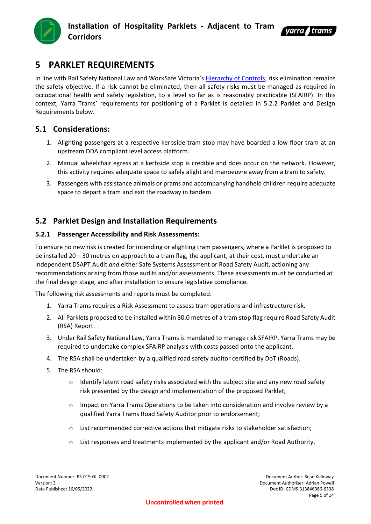



# <span id="page-4-0"></span>**5 PARKLET REQUIREMENTS**

In line with Rail Safety National Law and WorkSafe Victoria's [Hierarchy of Controls,](https://www.worksafe.vic.gov.au/hierarchy-control) risk elimination remains the safety objective. If a risk cannot be eliminated, then all safety risks must be managed as required in occupational health and safety legislation, to a level so far as is reasonably practicable (SFAIRP). In this context, Yarra Trams' requirements for positioning of a Parklet is detailed in 5.2.2 Parklet and Design Requirements below.

## <span id="page-4-1"></span>**5.1 Considerations:**

- 1. Alighting passengers at a respective kerbside tram stop may have boarded a low floor tram at an upstream DDA compliant level access platform.
- 2. Manual wheelchair egress at a kerbside stop is credible and does occur on the network. However, this activity requires adequate space to safely alight and manoeuvre away from a tram to safety.
- 3. Passengers with assistance animals or prams and accompanying handheld children require adequate space to depart a tram and exit the roadway in tandem.

## <span id="page-4-2"></span>**5.2 Parklet Design and Installation Requirements**

#### **5.2.1 Passenger Accessibility and Risk Assessments:**

To ensure no new risk is created for intending or alighting tram passengers, where a Parklet is proposed to be installed 20 – 30 metres on approach to a tram flag, the applicant, at their cost, must undertake an independent DSAPT Audit *and* either Safe Systems Assessment or Road Safety Audit, actioning any recommendations arising from those audits and/or assessments. These assessments must be conducted at the final design stage, and after installation to ensure legislative compliance.

The following risk assessments and reports must be completed:

- 1. Yarra Trams requires a Risk Assessment to assess tram operations and infrastructure risk.
- 2. All Parklets proposed to be installed within 30.0 metres of a tram stop flag require Road Safety Audit (RSA) Report.
- 3. Under Rail Safety National Law, Yarra Trams is mandated to manage risk SFAIRP. Yarra Trams may be required to undertake complex SFAIRP analysis with costs passed onto the applicant.
- 4. The RSA shall be undertaken by a qualified road safety auditor certified by DoT (Roads).
- 5. The RSA should:
	- $\circ$  Identify latent road safety risks associated with the subject site and any new road safety risk presented by the design and implementation of the proposed Parklet;
	- o Impact on Yarra Trams Operations to be taken into consideration and involve review by a qualified Yarra Trams Road Safety Auditor prior to endorsement;
	- o List recommended corrective actions that mitigate risks to stakeholder satisfaction;
	- o List responses and treatments implemented by the applicant and/or Road Authority.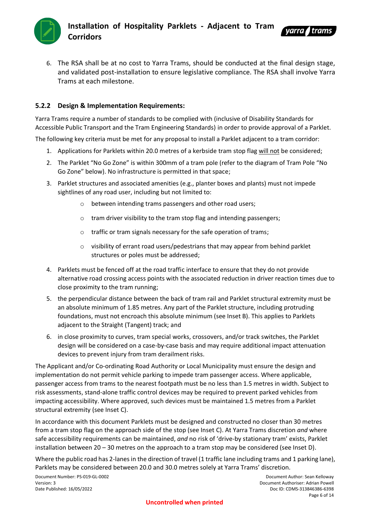



6. The RSA shall be at no cost to Yarra Trams, should be conducted at the final design stage, and validated post-installation to ensure legislative compliance. The RSA shall involve Yarra Trams at each milestone.

#### **5.2.2 Design & Implementation Requirements:**

Yarra Trams require a number of standards to be complied with (inclusive of Disability Standards for Accessible Public Transport and the Tram Engineering Standards) in order to provide approval of a Parklet.

The following key criteria must be met for any proposal to install a Parklet adjacent to a tram corridor:

- 1. Applications for Parklets within 20.0 metres of a kerbside tram stop flag will not be considered;
- 2. The Parklet "No Go Zone" is within 300mm of a tram pole (refer to the diagram of Tram Pole "No Go Zone" below). No infrastructure is permitted in that space;
- 3. Parklet structures and associated amenities (e.g., planter boxes and plants) must not impede sightlines of any road user, including but not limited to:
	- o between intending trams passengers and other road users;
	- o tram driver visibility to the tram stop flag and intending passengers;
	- o traffic or tram signals necessary for the safe operation of trams;
	- o visibility of errant road users/pedestrians that may appear from behind parklet structures or poles must be addressed;
- 4. Parklets must be fenced off at the road traffic interface to ensure that they do not provide alternative road crossing access points with the associated reduction in driver reaction times due to close proximity to the tram running;
- 5. the perpendicular distance between the back of tram rail and Parklet structural extremity must be an absolute minimum of 1.85 metres. Any part of the Parklet structure, including protruding foundations, must not encroach this absolute minimum (see Inset B). This applies to Parklets adjacent to the Straight (Tangent) track; and
- 6. in close proximity to curves, tram special works, crossovers, and/or track switches, the Parklet design will be considered on a case-by-case basis and may require additional impact attenuation devices to prevent injury from tram derailment risks.

The Applicant and/or Co-ordinating Road Authority or Local Municipality must ensure the design and implementation do not permit vehicle parking to impede tram passenger access. Where applicable, passenger access from trams to the nearest footpath must be no less than 1.5 metres in width. Subject to risk assessments, stand-alone traffic control devices may be required to prevent parked vehicles from impacting accessibility. Where approved, such devices must be maintained 1.5 metres from a Parklet structural extremity (see Inset C).

In accordance with this document Parklets must be designed and constructed no closer than 30 metres from a tram stop flag on the approach side of the stop (see Inset C). At Yarra Trams discretion *and* where safe accessibility requirements can be maintained, *and* no risk of 'drive-by stationary tram' exists, Parklet installation between 20 – 30 metres on the approach to a tram stop may be considered (see Inset D).

Where the public road has 2-lanes in the direction of travel (1 traffic lane including trams and 1 parking lane), Parklets may be considered between 20.0 and 30.0 metres solely at Yarra Trams' discretion.

Document Number: PS-019-GL-0002 Document Author: Sean Kelloway

Version: 3 Document Authoriser: Adrian Powell Date Published: 16/05/2022 Doc ID: CDMS-313846386-6398 Page 6 of 14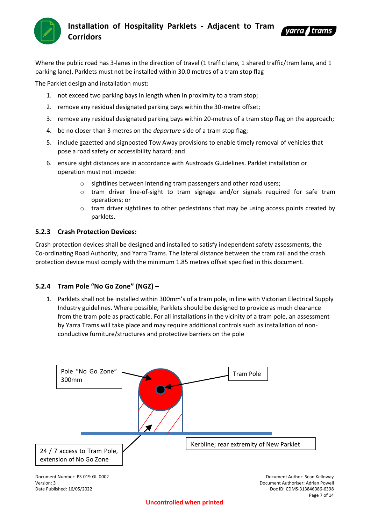



Where the public road has 3-lanes in the direction of travel (1 traffic lane, 1 shared traffic/tram lane, and 1 parking lane), Parklets must not be installed within 30.0 metres of a tram stop flag

The Parklet design and installation must:

- 1. not exceed two parking bays in length when in proximity to a tram stop;
- 2. remove any residual designated parking bays within the 30-metre offset;
- 3. remove any residual designated parking bays within 20-metres of a tram stop flag on the approach;
- 4. be no closer than 3 metres on the *departure* side of a tram stop flag;
- 5. include gazetted and signposted Tow Away provisions to enable timely removal of vehicles that pose a road safety or accessibility hazard; and
- 6. ensure sight distances are in accordance with Austroads Guidelines. Parklet installation or operation must not impede:
	- o sightlines between intending tram passengers and other road users;
	- o tram driver line-of-sight to tram signage and/or signals required for safe tram operations; or
	- $\circ$  tram driver sightlines to other pedestrians that may be using access points created by parklets.

#### **5.2.3 Crash Protection Devices:**

Crash protection devices shall be designed and installed to satisfy independent safety assessments, the Co-ordinating Road Authority, and Yarra Trams. The lateral distance between the tram rail and the crash protection device must comply with the minimum 1.85 metres offset specified in this document.

#### **5.2.4 Tram Pole "No Go Zone" (NGZ) –**

1. Parklets shall not be installed within 300mm's of a tram pole, in line with Victorian Electrical Supply Industry guidelines. Where possible, Parklets should be designed to provide as much clearance from the tram pole as practicable. For all installations in the vicinity of a tram pole, an assessment by Yarra Trams will take place and may require additional controls such as installation of nonconductive furniture/structures and protective barriers on the pole

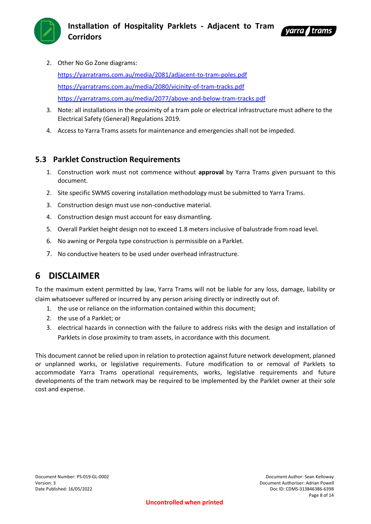



2. Other No Go Zone diagrams:

<https://yarratrams.com.au/media/2081/adjacent-to-tram-poles.pdf> <https://yarratrams.com.au/media/2080/vicinity-of-tram-tracks.pdf> <https://yarratrams.com.au/media/2077/above-and-below-tram-tracks.pdf>

- 3. Note: all installations in the proximity of a tram pole or electrical infrastructure must adhere to the Electrical Safety (General) Regulations 2019.
- 4. Access to Yarra Trams assets for maintenance and emergencies shall not be impeded.

## <span id="page-7-0"></span>**5.3 Parklet Construction Requirements**

- 1. Construction work must not commence without **approval** by Yarra Trams given pursuant to this document.
- 2. Site specific SWMS covering installation methodology must be submitted to Yarra Trams.
- 3. Construction design must use non-conductive material.
- 4. Construction design must account for easy dismantling.
- 5. Overall Parklet height design not to exceed 1.8 meters inclusive of balustrade from road level.
- 6. No awning or Pergola type construction is permissible on a Parklet.
- 7. No conductive heaters to be used under overhead infrastructure.

# <span id="page-7-1"></span>**6 DISCLAIMER**

To the maximum extent permitted by law, Yarra Trams will not be liable for any loss, damage, liability or claim whatsoever suffered or incurred by any person arising directly or indirectly out of:

- 1. the use or reliance on the information contained within this document;
- 2. the use of a Parklet; or
- 3. electrical hazards in connection with the failure to address risks with the design and installation of Parklets in close proximity to tram assets, in accordance with this document.

This document cannot be relied upon in relation to protection against future network development, planned or unplanned works, or legislative requirements. Future modification to or removal of Parklets to accommodate Yarra Trams operational requirements, works, legislative requirements and future developments of the tram network may be required to be implemented by the Parklet owner at their sole cost and expense.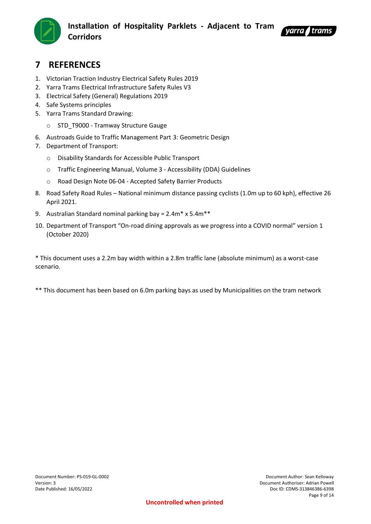



# <span id="page-8-0"></span>**7 REFERENCES**

- 1. Victorian Traction Industry Electrical Safety Rules 2019
- 2. Yarra Trams Electrical Infrastructure Safety Rules V3
- 3. Electrical Safety (General) Regulations 2019
- 4. Safe Systems principles
- 5. Yarra Trams Standard Drawing:
	- o STD\_T9000 Tramway Structure Gauge
- 6. Austroads Guide to Traffic Management Part 3: Geometric Design
- 7. Department of Transport:
	- o Disability Standards for Accessible Public Transport
	- o Traffic Engineering Manual, Volume 3 [Accessibility \(DDA\) Guidelines](https://austroads.com.au/publications/traffic-management/agtm11)
	- o Road Design Note 06-04 Accepted Safety Barrier Products
- 8. Road Safety Road Rules National minimum distance passing cyclists (1.0m up to 60 kph), effective 26 April 2021.
- 9. Australian Standard nominal parking bay = 2.4m\* x 5.4m\*\*
- 10. Department of Transport "On-road dining approvals as we progress into a COVID normal" version 1 (October 2020)

\* This document uses a 2.2m bay width within a 2.8m traffic lane (absolute minimum) as a worst-case scenario.

\*\* This document has been based on 6.0m parking bays as used by Municipalities on the tram network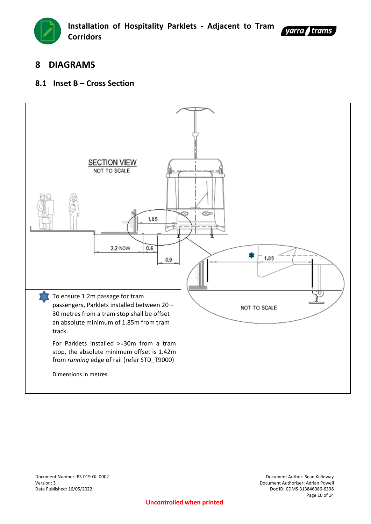



# <span id="page-9-0"></span>**8 DIAGRAMS**

## <span id="page-9-1"></span>**8.1 Inset B – Cross Section**

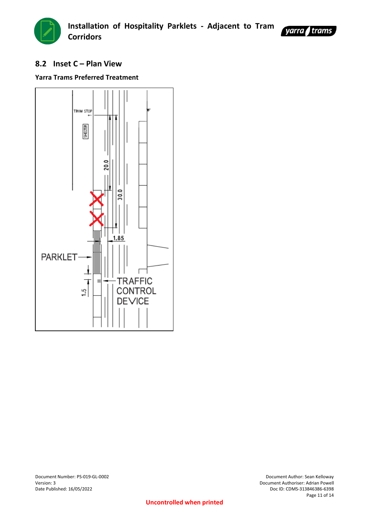



## <span id="page-10-0"></span>**8.2 Inset C – Plan View**

## **Yarra Trams Preferred Treatment**



Document Number: PS-019-GL-0002 Document Author: Sean Kelloway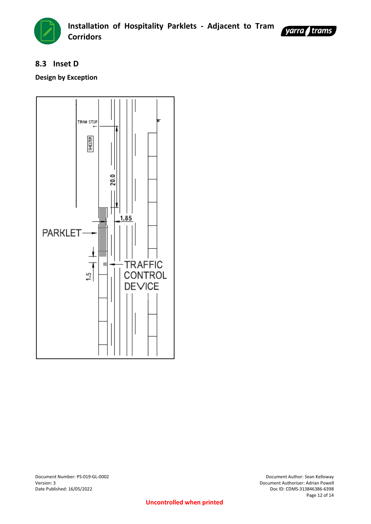



## <span id="page-11-0"></span>**8.3 Inset D**

## **Design by Exception**



Document Number: PS-019-GL-0002 Document Author: Sean Kelloway

Version: 3 Document Authoriser: Adrian Powell Doc ID: CDMS-313846386-6398 Page 12 of 14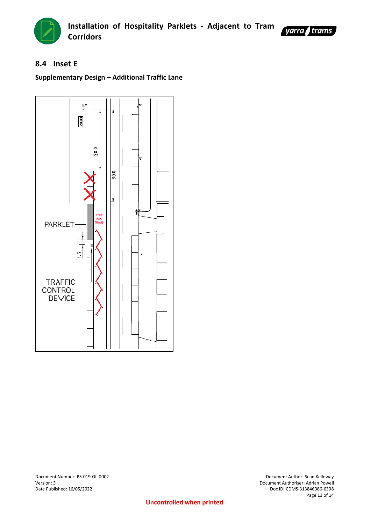



## <span id="page-12-0"></span>**8.4 Inset E**

## **Supplementary Design – Additional Traffic Lane**